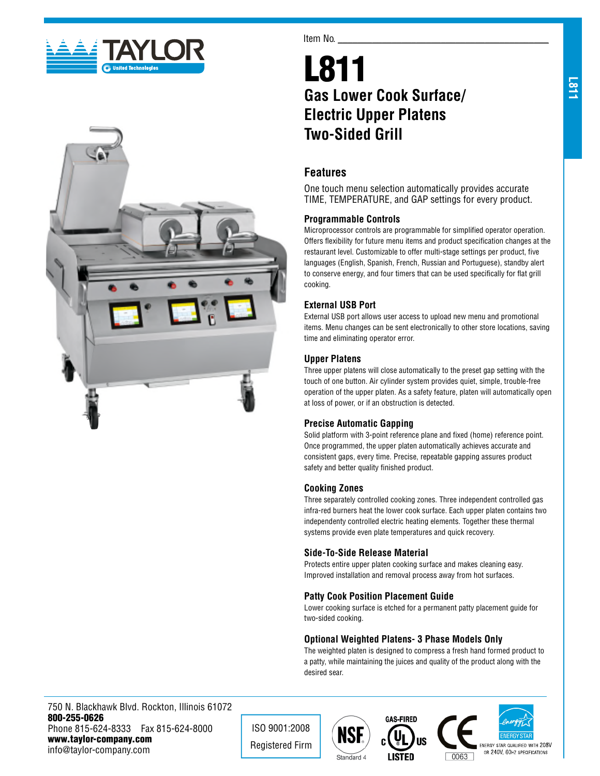



#### Item No.

# L811 **Gas Lower Cook Surface/ Electric Upper Platens Two-Sided Grill**

# **Features**

One touch menu selection automatically provides accurate TIME, TEMPERATURE, and GAP settings for every product.

## **Programmable Controls**

Microprocessor controls are programmable for simplified operator operation. Offers flexibility for future menu items and product specification changes at the restaurant level. Customizable to offer multi-stage settings per product, five languages (English, Spanish, French, Russian and Portuguese), standby alert to conserve energy, and four timers that can be used specifically for flat grill cooking.

## **External USB Port**

External USB port allows user access to upload new menu and promotional items. Menu changes can be sent electronically to other store locations, saving time and eliminating operator error.

## **Upper Platens**

Three upper platens will close automatically to the preset gap setting with the touch of one button. Air cylinder system provides quiet, simple, trouble-free operation of the upper platen. As a safety feature, platen will automatically open at loss of power, or if an obstruction is detected.

## **Precise Automatic Gapping**

Solid platform with 3-point reference plane and fixed (home) reference point. Once programmed, the upper platen automatically achieves accurate and consistent gaps, every time. Precise, repeatable gapping assures product safety and better quality finished product.

#### **Cooking Zones**

Three separately controlled cooking zones. Three independent controlled gas infra-red burners heat the lower cook surface. Each upper platen contains two independenty controlled electric heating elements. Together these thermal systems provide even plate temperatures and quick recovery.

#### **Side-To-Side Release Material**

Protects entire upper platen cooking surface and makes cleaning easy. Improved installation and removal process away from hot surfaces.

## **Patty Cook Position Placement Guide**

Lower cooking surface is etched for a permanent patty placement guide for two-sided cooking.

## **Optional Weighted Platens- 3 Phase Models Only**

The weighted platen is designed to compress a fresh hand formed product to a patty, while maintaining the juices and quality of the product along with the desired sear.

750 N. Blackhawk Blvd. Rockton, Illinois 61072 800-255-0626 Phone 815-624-8333 Fax 815-624-8000 www.taylor-company.com info@taylor-company.com

ISO 9001:2008 Registered Firm